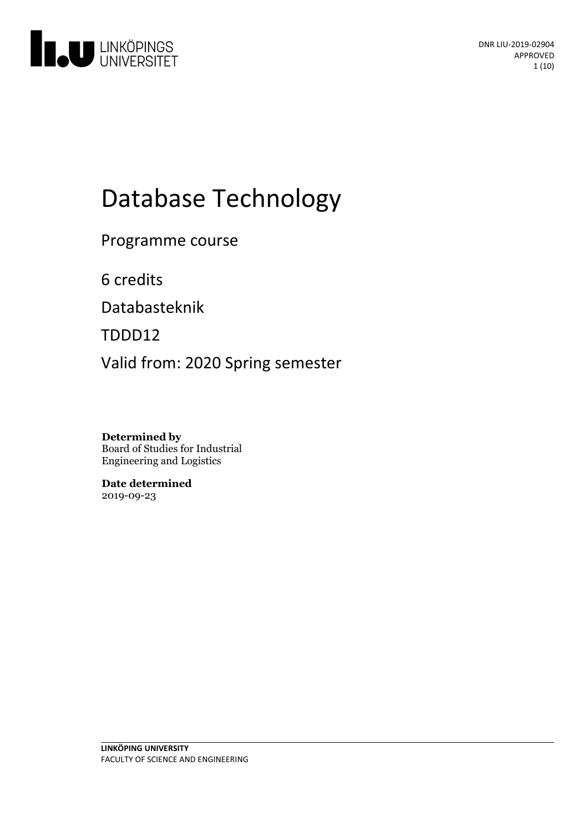

# Database Technology

Programme course

6 credits

Databasteknik

TDDD12

Valid from: 2020 Spring semester

**Determined by** Board of Studies for Industrial Engineering and Logistics

**Date determined** 2019-09-23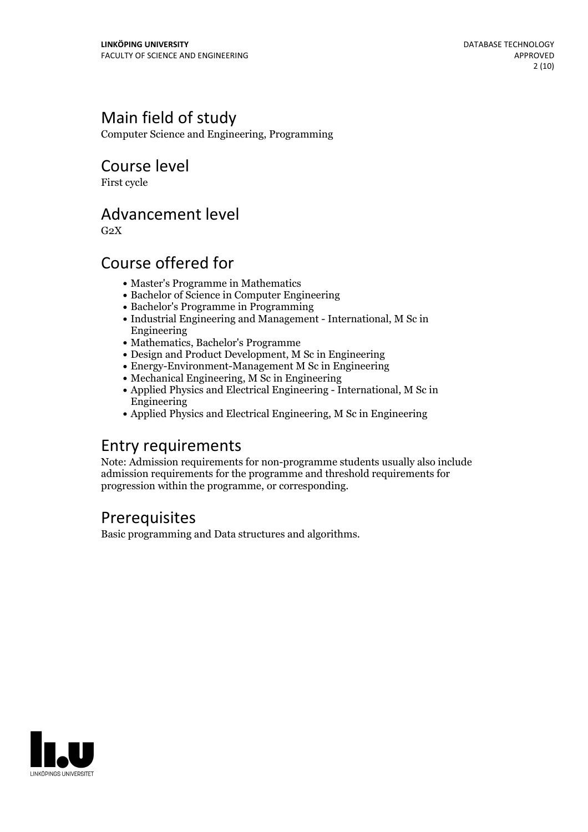### Main field of study

Computer Science and Engineering, Programming

### Course level

First cycle

### Advancement level

 $G<sub>2</sub>X$ 

### Course offered for

- Master's Programme in Mathematics
- Bachelor of Science in Computer Engineering
- Bachelor's Programme in Programming
- Industrial Engineering and Management International, M Sc in Engineering
- Mathematics, Bachelor's Programme
- Design and Product Development, M Sc in Engineering
- Energy-Environment-Management M Sc in Engineering
- Mechanical Engineering, M Sc in Engineering
- Applied Physics and Electrical Engineering International, M Sc in Engineering
- Applied Physics and Electrical Engineering, M Sc in Engineering

### Entry requirements

Note: Admission requirements for non-programme students usually also include admission requirements for the programme and threshold requirements for progression within the programme, or corresponding.

### **Prerequisites**

Basic programming and Data structures and algorithms.

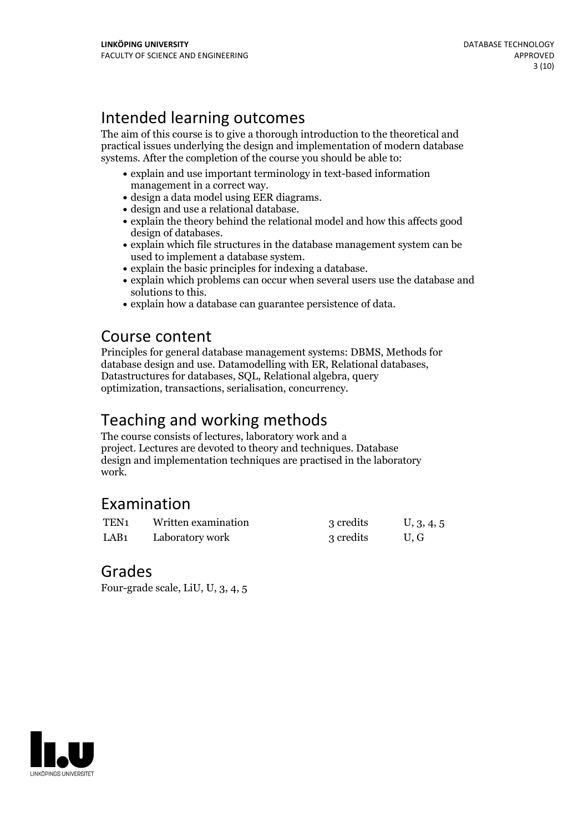### Intended learning outcomes

The aim of this course is to give a thorough introduction to the theoretical and practical issues underlying the design and implementation of modern database systems. After the completion of the course you should be able to:

- explain and use important terminology in text-based information
- 
- 
- management in a correct way.<br>
 design a data model using EER diagrams.<br>
 design and use a relational database.<br>
 explain the theory behind the relational model and how this affects good<br>
design of databases.
- explain which file structures in the database management system can be used to implement a database system.
- 
- explain the basic principles for indexing a database.<br>• explain which problems can occur when several users use the database and
- solutions to this.<br>• explain how a database can guarantee persistence of data.

### Course content

Principles for general database management systems: DBMS, Methods for database design and use. Datamodelling with ER, Relational databases, Datastructures for databases, SQL, Relational algebra, query optimization, transactions, serialisation, concurrency.

### Teaching and working methods

The course consists of lectures, laboratory work and a project. Lectures are devoted to theory and techniques. Database design and implementation techniques are practised in the laboratory work.

### Examination

| TEN <sub>1</sub> | Written examination | 3 credits | U, 3, 4, 5 |
|------------------|---------------------|-----------|------------|
| LAB <sub>1</sub> | Laboratory work     | 3 credits | U.G        |

### Grades

Four-grade scale, LiU, U, 3, 4, 5

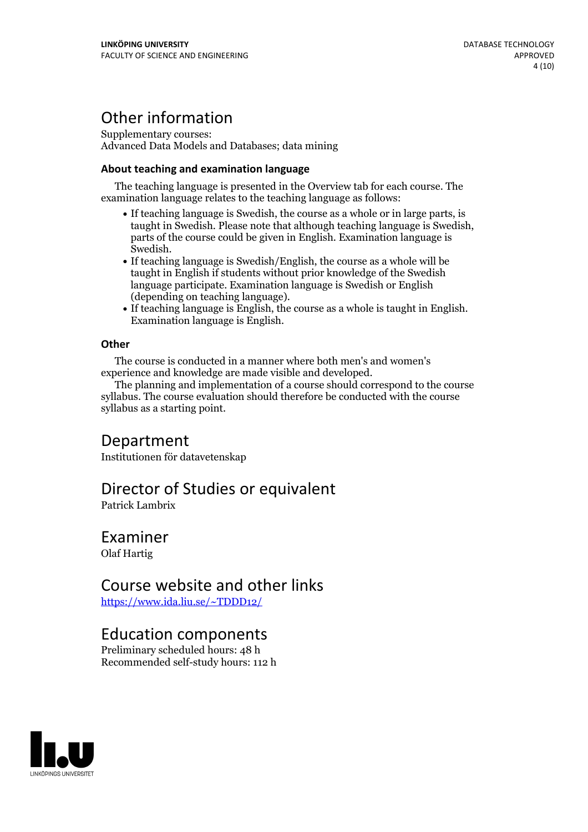### Other information

Supplementary courses: Advanced Data Models and Databases; data mining

#### **About teaching and examination language**

The teaching language is presented in the Overview tab for each course. The examination language relates to the teaching language as follows:

- If teaching language is Swedish, the course as a whole or in large parts, is taught in Swedish. Please note that although teaching language is Swedish, parts of the course could be given in English. Examination language is Swedish.<br>• If teaching language is Swedish/English, the course as a whole will be
- taught in English if students without prior knowledge of the Swedish language participate. Examination language is Swedish or English
- $\bullet$  If teaching language is English, the course as a whole is taught in English. Examination language is English.

#### **Other**

The course is conducted in a manner where both men's and women's

The planning and implementation of a course should correspond to the course syllabus. The course evaluation should therefore be conducted with the course syllabus as a starting point.

### Department

Institutionen för datavetenskap

### Director of Studies or equivalent

Patrick Lambrix

#### Examiner Olaf Hartig

## Course website and other links

<https://www.ida.liu.se/~TDDD12/>

### Education components

Preliminary scheduled hours: 48 h Recommended self-study hours: 112 h

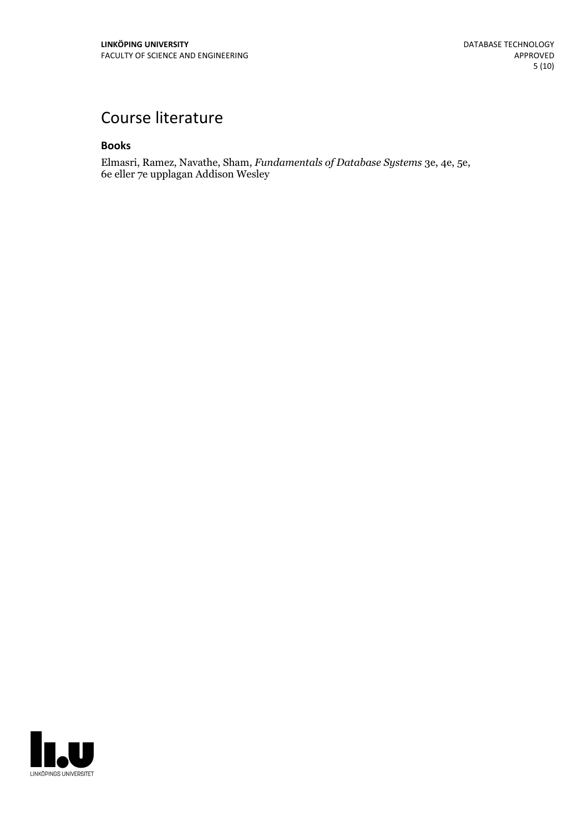### Course literature

#### **Books**

Elmasri, Ramez, Navathe, Sham, *Fundamentals of Database Systems* 3e, 4e, 5e, 6e eller 7e upplagan Addison Wesley

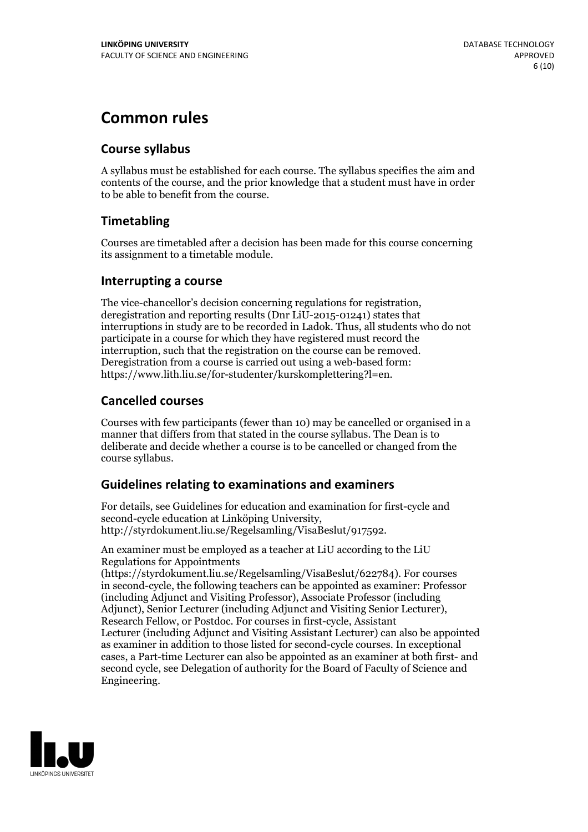### **Common rules**

#### **Course syllabus**

A syllabus must be established for each course. The syllabus specifies the aim and contents of the course, and the prior knowledge that a student must have in order to be able to benefit from the course.

#### **Timetabling**

Courses are timetabled after a decision has been made for this course concerning its assignment to a timetable module.

#### **Interrupting a course**

The vice-chancellor's decision concerning regulations for registration, deregistration and reporting results (Dnr LiU-2015-01241) states that interruptions in study are to be recorded in Ladok. Thus, all students who do not participate in a course for which they have registered must record the interruption, such that the registration on the course can be removed. Deregistration from <sup>a</sup> course is carried outusing <sup>a</sup> web-based form: https://www.lith.liu.se/for-studenter/kurskomplettering?l=en.

#### **Cancelled courses**

Courses with few participants (fewer than 10) may be cancelled or organised in a manner that differs from that stated in the course syllabus. The Dean is to deliberate and decide whether a course is to be cancelled or changed from the course syllabus.

#### **Guidelines relatingto examinations and examiners**

For details, see Guidelines for education and examination for first-cycle and second-cycle education at Linköping University, http://styrdokument.liu.se/Regelsamling/VisaBeslut/917592.

An examiner must be employed as a teacher at LiU according to the LiU Regulations for Appointments

(https://styrdokument.liu.se/Regelsamling/VisaBeslut/622784). For courses in second-cycle, the following teachers can be appointed as examiner: Professor (including Adjunct and Visiting Professor), Associate Professor (including Adjunct), Senior Lecturer (including Adjunct and Visiting Senior Lecturer), Research Fellow, or Postdoc. For courses in first-cycle, Assistant Lecturer (including Adjunct and Visiting Assistant Lecturer) can also be appointed as examiner in addition to those listed for second-cycle courses. In exceptional cases, a Part-time Lecturer can also be appointed as an examiner at both first- and second cycle, see Delegation of authority for the Board of Faculty of Science and Engineering.

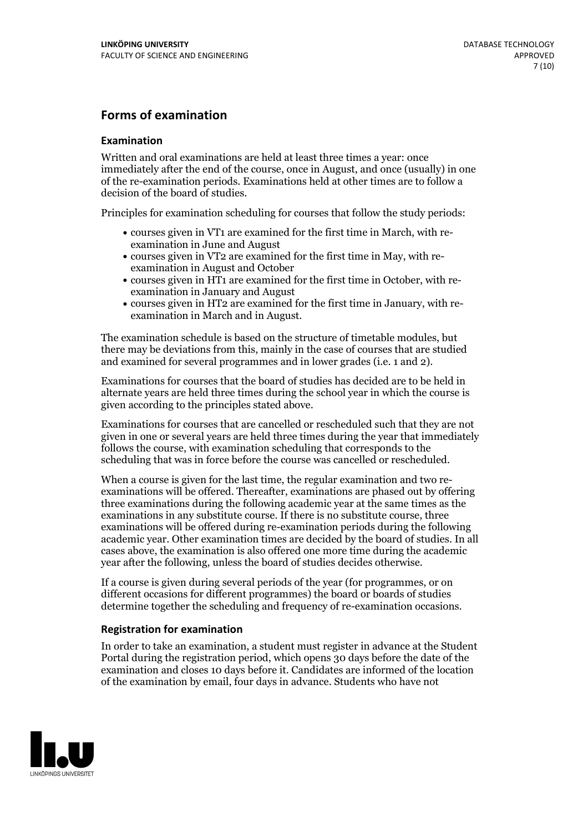#### **Forms of examination**

#### **Examination**

Written and oral examinations are held at least three times a year: once immediately after the end of the course, once in August, and once (usually) in one of the re-examination periods. Examinations held at other times are to follow a decision of the board of studies.

Principles for examination scheduling for courses that follow the study periods:

- courses given in VT1 are examined for the first time in March, with re-examination in June and August
- courses given in VT2 are examined for the first time in May, with re-examination in August and October
- courses given in HT1 are examined for the first time in October, with re-examination in January and August
- courses given in HT2 are examined for the first time in January, with re-examination in March and in August.

The examination schedule is based on the structure of timetable modules, but there may be deviations from this, mainly in the case of courses that are studied and examined for several programmes and in lower grades (i.e. 1 and 2).

Examinations for courses that the board of studies has decided are to be held in alternate years are held three times during the school year in which the course is given according to the principles stated above.

Examinations for courses that are cancelled orrescheduled such that they are not given in one or several years are held three times during the year that immediately follows the course, with examination scheduling that corresponds to the scheduling that was in force before the course was cancelled or rescheduled.

When a course is given for the last time, the regular examination and two re-<br>examinations will be offered. Thereafter, examinations are phased out by offering three examinations during the following academic year at the same times as the examinations in any substitute course. If there is no substitute course, three examinations will be offered during re-examination periods during the following academic year. Other examination times are decided by the board of studies. In all cases above, the examination is also offered one more time during the academic year after the following, unless the board of studies decides otherwise.

If a course is given during several periods of the year (for programmes, or on different occasions for different programmes) the board or boards of studies determine together the scheduling and frequency of re-examination occasions.

#### **Registration for examination**

In order to take an examination, a student must register in advance at the Student Portal during the registration period, which opens 30 days before the date of the examination and closes 10 days before it. Candidates are informed of the location of the examination by email, four days in advance. Students who have not

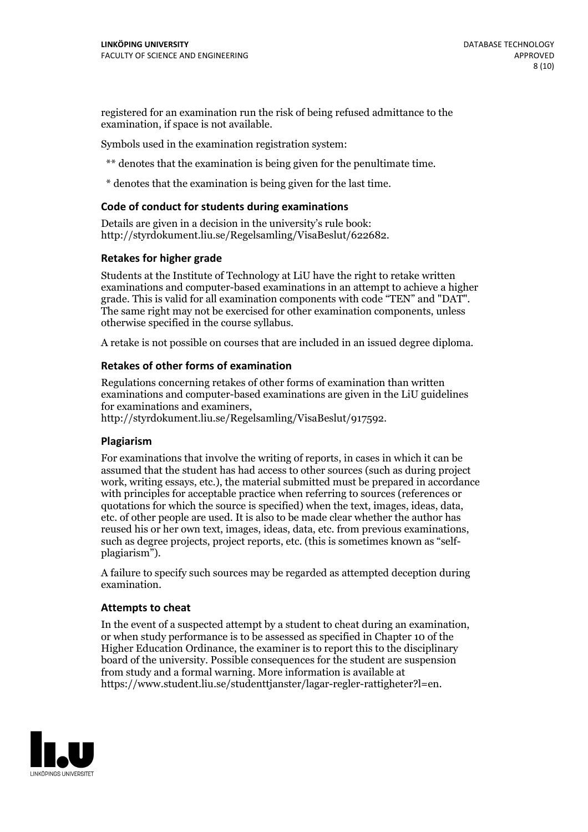registered for an examination run the risk of being refused admittance to the examination, if space is not available.

Symbols used in the examination registration system:

\*\* denotes that the examination is being given for the penultimate time.

\* denotes that the examination is being given for the last time.

#### **Code of conduct for students during examinations**

Details are given in a decision in the university's rule book: http://styrdokument.liu.se/Regelsamling/VisaBeslut/622682.

#### **Retakes for higher grade**

Students at the Institute of Technology at LiU have the right to retake written examinations and computer-based examinations in an attempt to achieve a higher grade. This is valid for all examination components with code "TEN" and "DAT". The same right may not be exercised for other examination components, unless otherwise specified in the course syllabus.

A retake is not possible on courses that are included in an issued degree diploma.

#### **Retakes of other forms of examination**

Regulations concerning retakes of other forms of examination than written examinations and computer-based examinations are given in the LiU guidelines

http://styrdokument.liu.se/Regelsamling/VisaBeslut/917592.

#### **Plagiarism**

For examinations that involve the writing of reports, in cases in which it can be assumed that the student has had access to other sources (such as during project work, writing essays, etc.), the material submitted must be prepared in accordance with principles for acceptable practice when referring to sources (references or quotations for which the source is specified) when the text, images, ideas, data,  $\vec{e}$  etc. of other people are used. It is also to be made clear whether the author has reused his or her own text, images, ideas, data, etc. from previous examinations, such as degree projects, project reports, etc. (this is sometimes known as "self- plagiarism").

A failure to specify such sources may be regarded as attempted deception during examination.

#### **Attempts to cheat**

In the event of <sup>a</sup> suspected attempt by <sup>a</sup> student to cheat during an examination, or when study performance is to be assessed as specified in Chapter <sup>10</sup> of the Higher Education Ordinance, the examiner is to report this to the disciplinary board of the university. Possible consequences for the student are suspension from study and a formal warning. More information is available at https://www.student.liu.se/studenttjanster/lagar-regler-rattigheter?l=en.

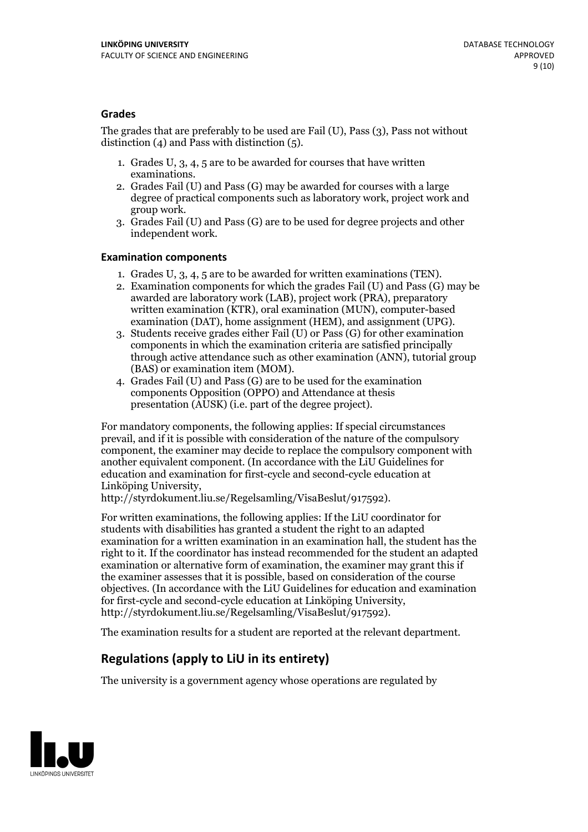#### **Grades**

The grades that are preferably to be used are Fail (U), Pass (3), Pass not without distinction  $(4)$  and Pass with distinction  $(5)$ .

- 1. Grades U, 3, 4, 5 are to be awarded for courses that have written
- examinations. 2. Grades Fail (U) and Pass (G) may be awarded for courses with <sup>a</sup> large degree of practical components such as laboratory work, project work and group work. 3. Grades Fail (U) and Pass (G) are to be used for degree projects and other
- independent work.

#### **Examination components**

- 
- 1. Grades U, 3, 4, <sup>5</sup> are to be awarded for written examinations (TEN). 2. Examination components for which the grades Fail (U) and Pass (G) may be awarded are laboratory work (LAB), project work (PRA), preparatory written examination (KTR), oral examination (MUN), computer-based
- examination (DAT), home assignment (HEM), and assignment (UPG). 3. Students receive grades either Fail (U) or Pass (G) for other examination components in which the examination criteria are satisfied principally through active attendance such as other examination (ANN), tutorial group (BAS) or examination item (MOM). 4. Grades Fail (U) and Pass (G) are to be used for the examination
- components Opposition (OPPO) and Attendance at thesis presentation (AUSK) (i.e. part of the degree project).

For mandatory components, the following applies: If special circumstances prevail, and if it is possible with consideration of the nature of the compulsory component, the examiner may decide to replace the compulsory component with another equivalent component. (In accordance with the LiU Guidelines for education and examination for first-cycle and second-cycle education at Linköping University, http://styrdokument.liu.se/Regelsamling/VisaBeslut/917592).

For written examinations, the following applies: If the LiU coordinator for students with disabilities has granted a student the right to an adapted examination for a written examination in an examination hall, the student has the right to it. If the coordinator has instead recommended for the student an adapted examination or alternative form of examination, the examiner may grant this if the examiner assesses that it is possible, based on consideration of the course objectives. (In accordance with the LiU Guidelines for education and examination for first-cycle and second-cycle education at Linköping University, http://styrdokument.liu.se/Regelsamling/VisaBeslut/917592).

The examination results for a student are reported at the relevant department.

### **Regulations (applyto LiU in its entirety)**

The university is a government agency whose operations are regulated by